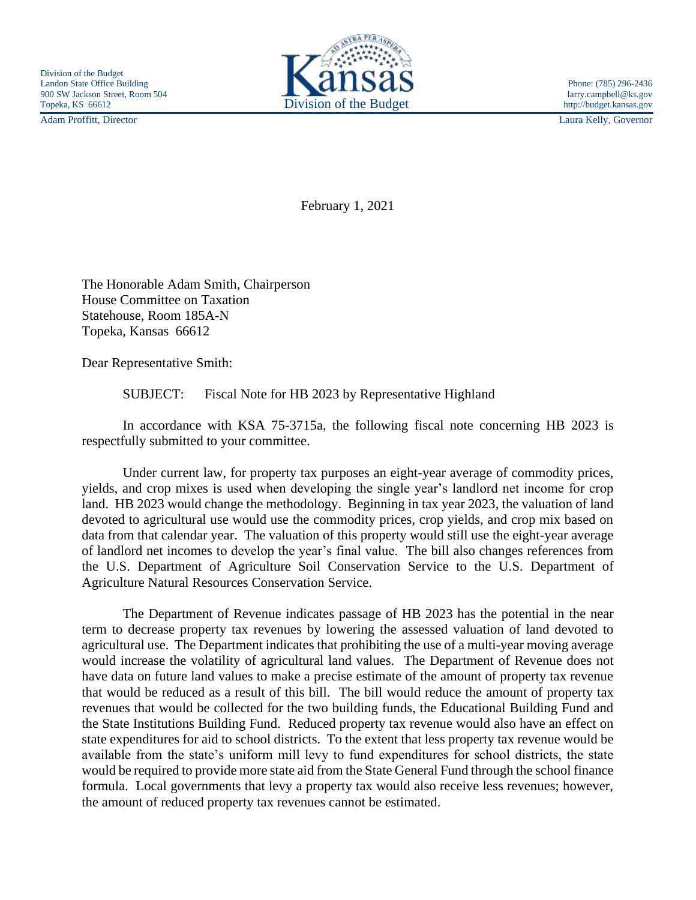Adam Proffitt, Director Laura Kelly, Governor



February 1, 2021

The Honorable Adam Smith, Chairperson House Committee on Taxation Statehouse, Room 185A-N Topeka, Kansas 66612

Dear Representative Smith:

SUBJECT: Fiscal Note for HB 2023 by Representative Highland

In accordance with KSA 75-3715a, the following fiscal note concerning HB 2023 is respectfully submitted to your committee.

Under current law, for property tax purposes an eight-year average of commodity prices, yields, and crop mixes is used when developing the single year's landlord net income for crop land. HB 2023 would change the methodology. Beginning in tax year 2023, the valuation of land devoted to agricultural use would use the commodity prices, crop yields, and crop mix based on data from that calendar year. The valuation of this property would still use the eight-year average of landlord net incomes to develop the year's final value. The bill also changes references from the U.S. Department of Agriculture Soil Conservation Service to the U.S. Department of Agriculture Natural Resources Conservation Service.

The Department of Revenue indicates passage of HB 2023 has the potential in the near term to decrease property tax revenues by lowering the assessed valuation of land devoted to agricultural use. The Department indicates that prohibiting the use of a multi-year moving average would increase the volatility of agricultural land values. The Department of Revenue does not have data on future land values to make a precise estimate of the amount of property tax revenue that would be reduced as a result of this bill. The bill would reduce the amount of property tax revenues that would be collected for the two building funds, the Educational Building Fund and the State Institutions Building Fund. Reduced property tax revenue would also have an effect on state expenditures for aid to school districts. To the extent that less property tax revenue would be available from the state's uniform mill levy to fund expenditures for school districts, the state would be required to provide more state aid from the State General Fund through the school finance formula. Local governments that levy a property tax would also receive less revenues; however, the amount of reduced property tax revenues cannot be estimated.